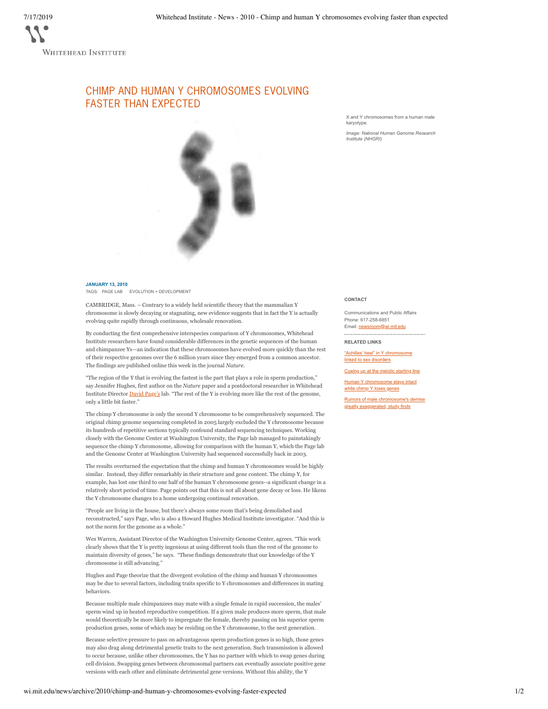## CHIMP AND HUMAN Y CHROMOSOMES EVOLVING FASTER THAN EXPECTED

X and Y chromosomes from a human male karyotype.

*Image: National Human Genome Research Institute (NHGRI)*



CAMBRIDGE, Mass. – Contrary to a widely held scientific theory that the mammalian Y chromosome is slowly decaying or stagnating, new evidence suggests that in fact the Y is actually evolving quite rapidly through continuous, wholesale renovation.

By conducting the first comprehensive interspecies comparison of Y chromosomes, Whitehead Institute researchers have found considerable differences in the genetic sequences of the human and chimpanzee Ys—an indication that these chromosomes have evolved more quickly than the rest of their respective genomes over the 6 million years since they emerged from a common ancestor. The findings are published online this week in the journal *Nature*.

"The region of the Y that is evolving the fastest is the part that plays a role in sperm production," say Jennifer Hughes, first author on the *Nature* paper and a postdoctoral researcher in Whitehead Institute Director **David Page's** lab. "The rest of the Y is evolving more like the rest of the genome, only a little bit faster."

The chimp Y chromosome is only the second Y chromosome to be comprehensively sequenced. The original chimp genome sequencing completed in 2005 largely excluded the Y chromosome because its hundreds of repetitive sections typically confound standard sequencing techniques. Working closely with the Genome Center at Washington University, the Page lab managed to painstakingly sequence the chimp Y chromosome, allowing for comparison with the human Y, which the Page lab and the Genome Center at Washington University had sequenced successfully back in 2003.

The results overturned the expectation that the chimp and human Y chromosomes would be highly similar. Instead, they differ remarkably in their structure and gene content. The chimp Y, for example, has lost one third to one half of the human Y chromosome genes--a significant change in a relatively short period of time. Page points out that this is not all about gene decay or loss. He likens the Y chromosome changes to a home undergoing continual renovation.

"People are living in the house, but there's always some room that's being demolished and reconstructed," says Page, who is also a Howard Hughes Medical Institute investigator. "And this is not the norm for the genome as a whole."

Wes Warren, Assistant Director of the Washington University Genome Center, agrees. "This work clearly shows that the Y is pretty ingenious at using different tools than the rest of the genome to maintain diversity of genes," he says. "These findings demonstrate that our knowledge of the Y chromosome is still advancing."

Hughes and Page theorize that the divergent evolution of the chimp and human Y chromosomes may be due to several factors, including traits specific to Y chromosomes and differences in mating behaviors.

Because multiple male chimpanzees may mate with a single female in rapid succession, the males' sperm wind up in heated reproductive competition. If a given male produces more sperm, that male would theoretically be more likely to impregnate the female, thereby passing on his superior sperm production genes, some of which may be residing on the Y chromosome, to the next generation.

Because selective pressure to pass on advantageous sperm production genes is so high, those genes may also drag along detrimental genetic traits to the next generation. Such transmission is allowed to occur because, unlike other chromosomes, the Y has no partner with which to swap genes during cell division. Swapping genes between chromosomal partners can eventually associate positive gene versions with each other and eliminate detrimental gene versions. Without this ability, the Y

## **CONTACT**

Communications and Public Affairs Phone: 617-258-6851

Email: newsroom@wi.mit.edu

**RELATED LINKS**

"Achilles' heel" in Y chromosome linked to sex disorders

Cueing up at the meiotic starting line

Human Y chromosome stays intact while chimp Y loses genes

Rumors of male chromosome's demise greatly exaggerated, study finds